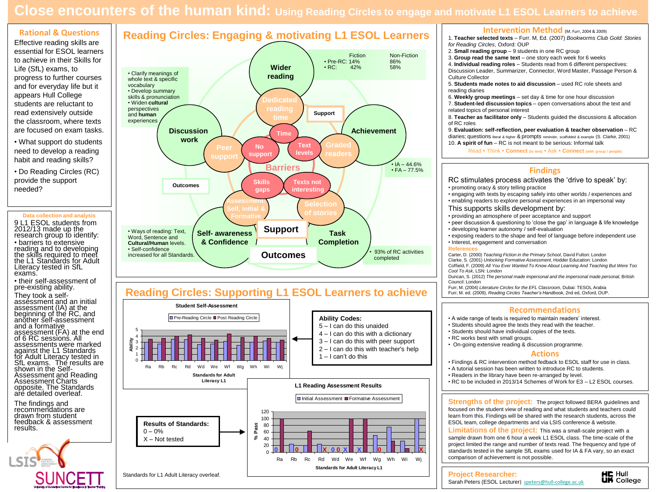# **Close encounters of the human kind: Using Reading Circles to engage and motivate L1 ESOL Learners to achieve**.

### **Rational & Questions** Effective reading skills are essential for ESOL learners to achieve in their Skills for Life (SfL) exams, to progress to further courses and for everyday life but it appears Hull College students are reluctant to read extensively outside the classroom, where texts are focused on exam tasks.

• What support do students need to develop a reading habit and reading skills?

• Do Reading Circles (RC) provide the support needed?

#### **Data collection and analysis**

9 L1 ESOL students from 2012/13 made up the research group to identify: • barriers to extensive

reading and to developing the skills required to meet the L1 Standards for Adult Literacy tested in SfL exams.

• their self-assessment of pre-existing ability.

They took a selfassessment and an initial assessment (IA) at the beginning of the RC, and another self-assessment and a formative assessment (FA) at the end of 6 RC sessions. All assessments were marked against the L1 Standards for Adult Literacy tested in SfL exams. The results are shown in the Self-Assessment and Reading Assessment Charts opposite. The Standards are detailed overleaf.

The findings and recommendations are drawn from student feedback & assessment results.





### **Reading Circles: Supporting L1 ESOL Learners to achieve**



#### **Intervention Method** (M. Furr, 2004 & 2009)

1. **Teacher selected texts** – Furr. M, Ed. (2007) *Bookworms Club Gold: Stories for Reading Circles*, Oxford: OUP

- 2. **Small reading group** 9 students in one RC group
- 3. **Group read the same text** one story each week for 6 weeks

4. **Individual reading roles** – Students read from 6 different perspectives: Discussion Leader, Summarizer, Connector, Word Master, Passage Person & Culture Collector

- 5. **Students made notes to aid discussion** used RC role sheets and reading diaries
- 6. **Weekly group meetings** set day & time for one hour discussion
- 7. **Student-led discussion topics** open conversations about the text and related topics of personal interest

8. **Teacher as facilitator only** – Students guided the discussions & allocation of RC roles

9. **Evaluation: self-reflection, peer evaluation & teacher observation** – RC diaries; questions literal & higher & prompts reminder, scaffolded & example (S. Clarke, 2001)

10. **A spirit of fun** – RC is not meant to be serious: Informal talk

Read Think **Connect (to text)**  Ask **Connect (with group / people)**

### **Findings**

**Recommendations** • A wide range of texts is required to maintain readers' interest. • Students should agree the texts they read with the teacher. • Students should have individual copies of the texts. • RC works best with small groups. • On-going extensive reading & discussion programme. **Actions** • Findings & RC intervention method fedback to ESOL staff for use in class. • A tutorial session has been written to introduce RC to students. • Readers in the library have been re-arranged by level. RC stimulates process activates the 'drive to speak' by: • promoting oracy & story telling practice • engaging with texts by escaping safely into other worlds / experiences and • enabling readers to explore personal experiences in an impersonal way This supports skills development by: • providing an atmosphere of peer acceptance and support • peer discussion & questioning to 'close the gap' in language & life knowledge • developing learner autonomy / self-evaluation • exposing readers to the shape and feel of language before independent use • Interest, engagement and conversation **References** Carter, D. (2000) *Teaching Fiction in the Primary School*, David Fulton: London Clarke, S. (2001) *Unlocking Formative Assessment*, Hodder Education: London Coffield, F. (2009) *All You Ever Wanted To Know About Learning And Teaching But Were Too Cool To Ask*, LSN: London Duncan, S. (2012) *The personal made impersonal and the impersonal made personal*, British Council: London Furr, M. (2004) *Literature Circles for the EFL Classroom,* Dubai: TESOL Arabia Furr, M. ed. (2009), *Reading Circles Teacher's Handbook*, 2nd ed, Oxford, OUP.

**Strengths of the project:** The project followed BERA guidelines and focused on the student view of reading and what students and teachers could learn from this. Findings will be shared with the research students, across the ESOL team, college departments and via LSIS conference & website.

**Limitations of the project:** This was a small-scale project with a sample drawn from one 6 hour a week L1 ESOL class. The time-scale of the project limited the range and number of texts read. The frequency and type of standards tested in the sample SfL exams used for IA & FA vary, so an exact comparison of achievement is not possible.

#### **Project Researcher:**

Sarah Peters (ESOL Lecturer) [speters@hull-college.ac.uk](mailto:speters@hull-college.ac.uk)